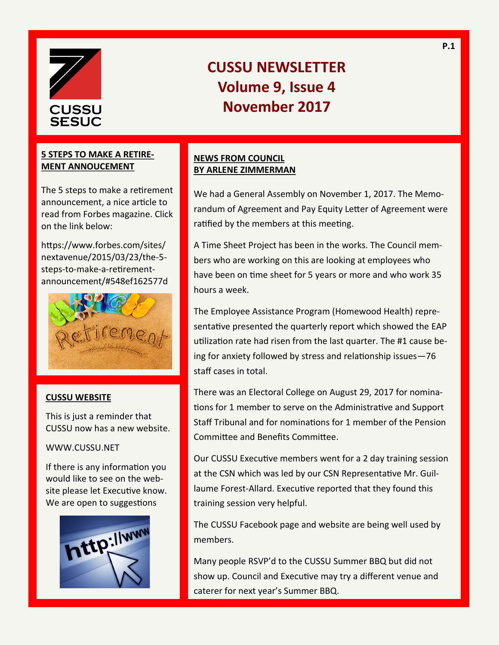

#### **5 STEPS TO MAKE A RETIRE-MENT ANNOUCEMENT**

The 5 steps to make a retirement announcement, a nice article to read from Forbes magazine. Click on the link below:

https://www.forbes.com/sites/ nextavenue/2015/03/23/the-5 steps-to-make-a-retirementannouncement/#548ef162577d



### **CUSSU WEBSITE**

This is just a reminder that CUSSU now has a new website.

#### WWW.CUSSU.NET

If there is any information you would like to see on the website please let Executive know. We are open to suggestions



## **NEWS FROM COUNCIL BY ARLENE ZIMMERMAN**

We had a General Assembly on November 1, 2017. The Memorandum of Agreement and Pay Equity Letter of Agreement were ratified by the members at this meeting.

A Time Sheet Project has been in the works. The Council members who are working on this are looking at employees who have been on time sheet for 5 years or more and who work 35 hours a week.

The Employee Assistance Program (Homewood Health) representative presented the quarterly report which showed the EAP utilization rate had risen from the last quarter. The #1 cause being for anxiety followed by stress and relationship issues—76 staff cases in total.

There was an Electoral College on August 29, 2017 for nominations for 1 member to serve on the Administrative and Support Staff Tribunal and for nominations for 1 member of the Pension Committee and Benefits Committee.

Our CUSSU Executive members went for a 2 day training session at the CSN which was led by our CSN Representative Mr. Guillaume Forest-Allard. Executive reported that they found this training session very helpful.

The CUSSU Facebook page and website are being well used by members.

Many people RSVP'd to the CUSSU Summer BBQ but did not show up. Council and Executive may try a different venue and caterer for next year's Summer BBQ.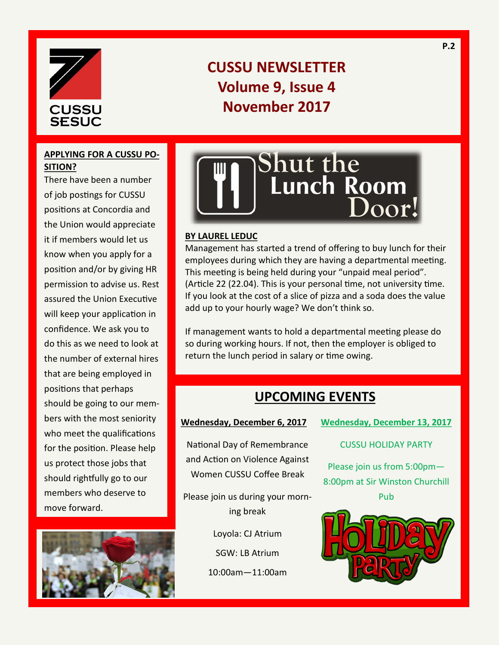

# **APPLYING FOR A CUSSU PO-SITION?**

There have been a number of job postings for CUSSU positions at Concordia and the Union would appreciate it if members would let us know when you apply for a position and/or by giving HR permission to advise us. Rest assured the Union Executive will keep your application in confidence. We ask you to do this as we need to look at the number of external hires that are being employed in positions that perhaps should be going to our members with the most seniority who meet the qualifications for the position. Please help us protect those jobs that should rightfully go to our members who deserve to move forward.





#### **BY LAUREL LEDUC**

Management has started a trend of offering to buy lunch for their employees during which they are having a departmental meeting. This meeting is being held during your "unpaid meal period". (Article 22 (22.04). This is your personal time, not university time. If you look at the cost of a slice of pizza and a soda does the value add up to your hourly wage? We don't think so.

If management wants to hold a departmental meeting please do so during working hours. If not, then the employer is obliged to return the lunch period in salary or time owing.

# **UPCOMING EVENTS**

**Wednesday, December 6, 2017**

National Day of Remembrance and Action on Violence Against Women CUSSU Coffee Break

Please join us during your morning break

Loyola: CJ Atrium

SGW: LB Atrium

10:00am—11:00am

**Wednesday, December 13, 2017**

#### CUSSU HOLIDAY PARTY

Please join us from 5:00pm— 8:00pm at Sir Winston Churchill Pub

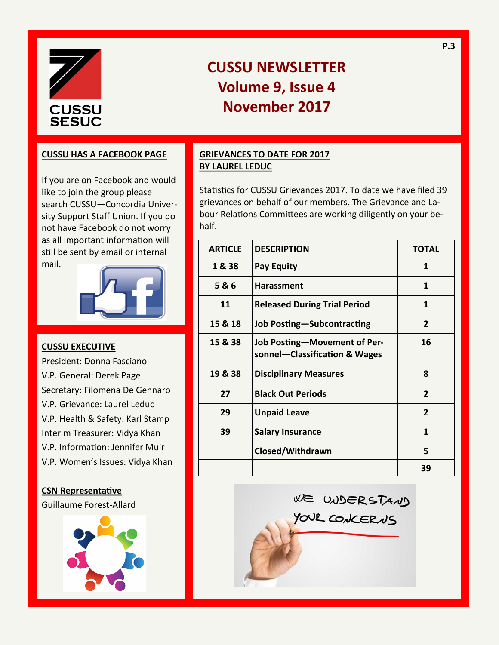

#### **CUSSU HAS A FACEBOOK PAGE**

If you are on Facebook and would like to join the group please search CUSSU—Concordia University Support Staff Union. If you do not have Facebook do not worry as all important information will still be sent by email or internal mail.



#### **CUSSU EXECUTIVE**

President: Donna Fasciano V.P. General: Derek Page Secretary: Filomena De Gennaro V.P. Grievance: Laurel Leduc V.P. Health & Safety: Karl Stamp Interim Treasurer: Vidya Khan V.P. Information: Jennifer Muir V.P. Women's Issues: Vidya Khan

#### **CSN Representative**

Guillaume Forest-Allard



### **GRIEVANCES TO DATE FOR 2017 BY LAUREL LEDUC**

Statistics for CUSSU Grievances 2017. To date we have filed 39 grievances on behalf of our members. The Grievance and Labour Relations Committees are working diligently on your behalf.

**P.3**

| <b>ARTICLE</b> | <b>DESCRIPTION</b>                                            | <b>TOTAL</b>   |
|----------------|---------------------------------------------------------------|----------------|
| 1 & 38         | <b>Pay Equity</b>                                             | 1              |
| 5&6            | <b>Harassment</b>                                             | 1              |
| 11             | <b>Released During Trial Period</b>                           | 1              |
| 15 & 18        | Job Posting-Subcontracting                                    | $\overline{2}$ |
| 15 & 38        | Job Posting-Movement of Per-<br>sonnel-Classification & Wages | 16             |
| 19 & 38        | <b>Disciplinary Measures</b>                                  | 8              |
| 27             | <b>Black Out Periods</b>                                      | $\overline{2}$ |
| 29             | <b>Unpaid Leave</b>                                           | $\overline{2}$ |
| 39             | <b>Salary Insurance</b>                                       | 1              |
|                | Closed/Withdrawn                                              | 5              |
|                |                                                               | 39             |

WE UNDERSTAND

YOUR CONCERNS